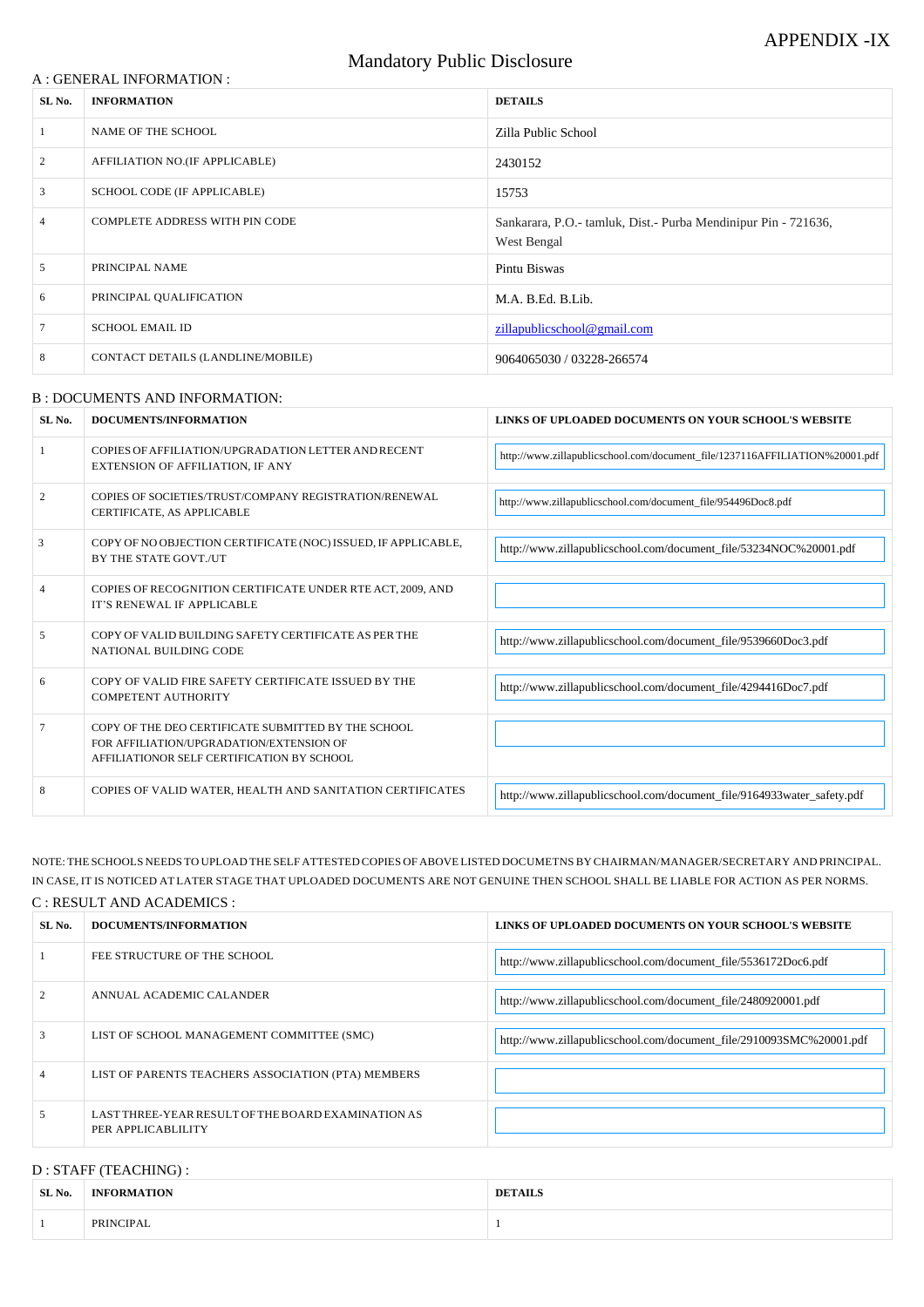#### A : GENERAL INFORMATION :

# Mandatory Public Disclosure

| SL No.         | <b>INFORMATION</b>                | <b>DETAILS</b>                                                                |  |
|----------------|-----------------------------------|-------------------------------------------------------------------------------|--|
|                | NAME OF THE SCHOOL                | Zilla Public School                                                           |  |
| 2              | AFFILIATION NO.(IF APPLICABLE)    | 2430152                                                                       |  |
| 3              | SCHOOL CODE (IF APPLICABLE)       | 15753                                                                         |  |
| $\overline{4}$ | COMPLETE ADDRESS WITH PIN CODE    | Sankarara, P.O.- tamluk, Dist.- Purba Mendinipur Pin - 721636,<br>West Bengal |  |
| 5              | PRINCIPAL NAME                    | Pintu Biswas                                                                  |  |
| 6              | PRINCIPAL QUALIFICATION           | M.A. B.Ed. B.Lib.                                                             |  |
|                | <b>SCHOOL EMAIL ID</b>            | zillapublicschool@gmail.com                                                   |  |
| 8              | CONTACT DETAILS (LANDLINE/MOBILE) | 9064065030 / 03228-266574                                                     |  |

#### B : DOCUMENTS AND INFORMATION:

| SL No.         | DOCUMENTS/INFORMATION                                                                                                                         | LINKS OF UPLOADED DOCUMENTS ON YOUR SCHOOL'S WEBSITE                        |
|----------------|-----------------------------------------------------------------------------------------------------------------------------------------------|-----------------------------------------------------------------------------|
|                | COPIES OF AFFILIATION/UPGRADATION LETTER AND RECENT<br>EXTENSION OF AFFILIATION, IF ANY                                                       | http://www.zillapublicschool.com/document_file/1237116AFFILIATION%20001.pdf |
| $\overline{2}$ | COPIES OF SOCIETIES/TRUST/COMPANY REGISTRATION/RENEWAL<br>CERTIFICATE, AS APPLICABLE                                                          | http://www.zillapublicschool.com/document_file/954496Doc8.pdf               |
| 3              | COPY OF NO OBJECTION CERTIFICATE (NOC) ISSUED, IF APPLICABLE,<br>BY THE STATE GOVT./UT                                                        | http://www.zillapublicschool.com/document_file/53234NOC%20001.pdf           |
| 4              | COPIES OF RECOGNITION CERTIFICATE UNDER RTE ACT, 2009, AND<br>IT'S RENEWAL IF APPLICABLE                                                      |                                                                             |
| 5              | COPY OF VALID BUILDING SAFETY CERTIFICATE AS PER THE<br>NATIONAL BUILDING CODE                                                                | http://www.zillapublicschool.com/document_file/9539660Doc3.pdf              |
| 6              | COPY OF VALID FIRE SAFETY CERTIFICATE ISSUED BY THE<br><b>COMPETENT AUTHORITY</b>                                                             | http://www.zillapublicschool.com/document_file/4294416Doc7.pdf              |
| 7              | COPY OF THE DEO CERTIFICATE SUBMITTED BY THE SCHOOL<br>FOR AFFILIATION/UPGRADATION/EXTENSION OF<br>AFFILIATIONOR SELF CERTIFICATION BY SCHOOL |                                                                             |
| 8              | COPIES OF VALID WATER, HEALTH AND SANITATION CERTIFICATES                                                                                     | http://www.zillapublicschool.com/document_file/9164933water_safety.pdf      |

NOTE: THE SCHOOLS NEEDS TO UPLOAD THE SELF ATTESTED COPIES OF ABOVE LISTED DOCUMETNSBYCHAIRMAN/MANAGER/SECRETARY AND PRINCIPAL. IN CASE, IT IS NOTICED AT LATER STAGE THAT UPLOADED DOCUMENTS ARE NOT GENUINE THEN SCHOOL SHALL BE LIABLE FOR ACTION AS PER NORMS.

### C : RESULT AND ACADEMICS :

| SL No. | DOCUMENTS/INFORMATION       | LINKS OF UPLOADED DOCUMENTS ON YOUR SCHOOL'S WEBSITE           |
|--------|-----------------------------|----------------------------------------------------------------|
|        | FEE STRUCTURE OF THE SCHOOL | http://www.zillapublicschool.com/document_file/5536172Doc6.pdf |

| $\mathfrak{D}$ | ANNUAL ACADEMIC CALANDER                                                 | http://www.zillapublicschool.com/document_file/2480920001.pdf       |
|----------------|--------------------------------------------------------------------------|---------------------------------------------------------------------|
| 3              | LIST OF SCHOOL MANAGEMENT COMMITTEE (SMC)                                | http://www.zillapublicschool.com/document_file/2910093SMC%20001.pdf |
| $\overline{4}$ | LIST OF PARENTS TEACHERS ASSOCIATION (PTA) MEMBERS                       |                                                                     |
| -5             | LAST THREE-YEAR RESULT OF THE BOARD EXAMINATION AS<br>PER APPLICABLILITY |                                                                     |

## D : STAFF (TEACHING) :

| SL No. | <b>INFORMATION</b> | AH S<br>DFT. |
|--------|--------------------|--------------|
|        | PRINCIPAL          |              |